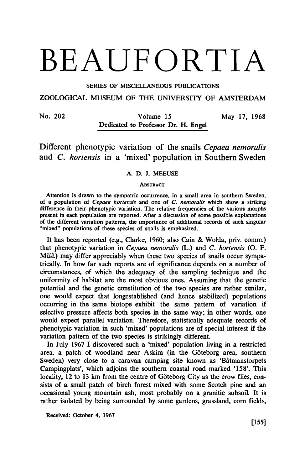# BEAUFORTIA

SERIES OF MISCELLANEOUS PUBLICATIONS

ZOOLOGICAL MUSEUM OF THE UNIVERSITY OF AMSTERDAM

No. 202 Volume 15 May 17, 1968 Dedicated to Professor Dr. H. Engel

Different phenotypic variation of the snails Cepaea nemoralis and C. hortensis in <sup>a</sup> 'mixed' population in Southern Sweden

# A.D.J. Meeuse

### **ABSTRACT**

Attention is drawn to the sympatric occurrence, in a small area in southern Sweden, of a population of Cepaea hortensis and one of C. nemoralis which show a striking difference in their phenotypic variation. The relative frequencies of the various morphs present in each population are reported. After a discussion of some possible explanations of the different variation patterns, the importance of additional records of such singular "mixed" populations of these species of snails is emphasized.

It has been reported (e.g., Clarke, 1960; also Cain & Wolda, priv. comm.) that phenotypic variation in Cepaea nemoralis (L.) and C. hortensis (O. F. Müll.) may differ appreciably when these two species of snails occur sympatrically. In how far such reports are of significance depends on <sup>a</sup> number of circumstances, of which the adequacy of the sampling technique and the uniformity of habitat are the most obvious ones. Assuming that the genetic potential and the genetic constitution of the two species are rather similar, one would expect that longestablished (and hence stabilized) populations occurring in the same biotope exhibit the same pattern of variation if selective pressure affects both species in the same way; in other words, one would expect parallel variation. Therefore, statistically adequate records of phenotypic variation in such 'mixed' populations are of special interest if the variation pattern of the two species is strikingly different.

In July <sup>1967</sup> I discovered such <sup>a</sup> 'mixed' population living in <sup>a</sup> restricted area, a patch of woodland near Askim (in the Göteborg area, southern Sweden) very close to <sup>a</sup> caravan camping site known as 'Bâtmanstorpets Campingplats', which adjoins the southern coastal road marked '158'. This locality, <sup>12</sup> to <sup>13</sup> km from the centre of Göteborg City as the crow flies, consists of a small patch of birch forest mixed with some Scotch pine and an occasional young mountain ash, most probably on <sup>a</sup> granitic subsoil. It is rather isolated by being surrounded by some gardens, grassland, corn fields,

Received: October 4, 1967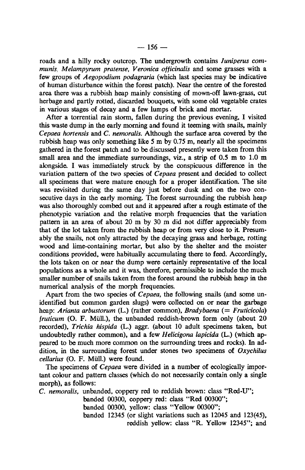roads and a hilly rocky outcrop. The undergrowth contains Juniperus communis, Melampyrum pratense, Veronica officinalis and some grasses with <sup>a</sup> few groups of Aegopodium podagraria (which last species may be indicative of human disturbance within the forest patch). Near the centre of the forested area there was <sup>a</sup> rubbish heap mainly consisting of mown-off lawn-grass, cut herbage and partly rotted, discarded bouquets, with some old vegetable crates in various stages of decay and <sup>a</sup> few lumps of brick and mortar.

After a torrential rain storm, fallen during the previous evening, I visited this waste dump in the early morning and found it teeming with snails, mainly Cepaea hortensis and C. nemoralis. Although the surface area covered by the rubbish heap was only something like <sup>5</sup> m by 0.75 m, nearly all the specimens gathered in the forest patch and to be discussed presently were taken from this small area and the immediate surroundings, viz., a strip of 0.5 m to 1.0 m alongside. I was immediately struck by the conspicuous difference in the variation pattern of the two species of Cepaea present and decided to collect all specimens that were mature enough for a proper identification. The site was revisited during the same day just before dusk and on the two consecutive days in the early morning. The forest surrounding the rubbish heap was also thoroughly combed out and it appeared after a rough estimate of the phenotypic variation and the relative morph frequencies that the variation pattern in an area of about <sup>20</sup> m by <sup>30</sup> m did not differ appreciably from that of the lot taken from the rubbish heap or from very close to it. Presumably the snails, not only attracted by the decaying grass and herbage, rotting wood and lime-containing mortar, but also by the shelter and the moister conditions provided, were habitually accumulating there to feed. Accordingly, the lots taken on or near the dump were certainly representative of the local populations as <sup>a</sup> whole and it was, therefore, permissible to include the much smaller number of snails taken from the forest around the rubbish heap in the numerical analysis of the morph frequencies.

Apart from the two species of Cepaea, the following snails (and some unidentified but common garden slugs) were collected on or near the garbage heap: Arianta arbustorum (L.) (rather common), Bradybaena (= Fruticicola) fruticum (O. F. Müll.), the unbanded reddish-brown form only (about 20 recorded), Trichia hispida (L.) aggr. (about <sup>10</sup> adult specimens taken, but undoubtedly rather common), and a few Helicigona lapicida (L.) (which appeared to be much more common on the surrounding trees and rocks). In addition, in the surrounding forest under stones two specimens of Oxychilus cellarius (O. F. Müll.) were found.

The specimens of Cepaea were divided in a number of ecologically important colour and pattern classes (which do not necessarily contain only <sup>a</sup> single morph), as follows:

C. nemoralis, unbanded, coppery red to reddish brown: class "Red-U";

banded 00300, coppery red: class "Red 00300";

banded 00300, yellow: class "Yellow 00300";

banded 12345 (or slight variations such as 12045 and 123(45), reddish yellow: class "R. Yellow 12345"; and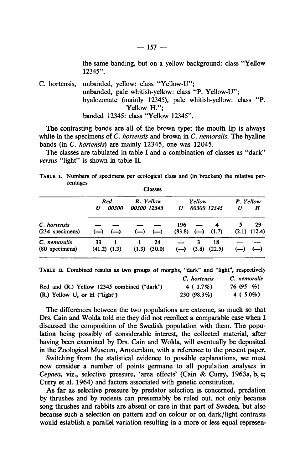the same banding, but on a yellow background: class "Yellow 12345".

C. hortensis, unbanded, yellow: class "Yellow-U"; unbanded, pale whitish-yellow: class "P. Yellow-U"; hyalozonate (mainly 12345), pale whitish-yellow: class "P. Yellow H."; banded 12345: class "Yellow 12345".

The contrasting bands are all of the brown type; the mouth lip is always white in the specimens of  $C$ . *hortensis* and brown in  $C$ . *nemoralis*. The hyaline bands (in C. hortensis) are mainly 12345, one was 12045.

The classes are tabulated in table I and a combination of classes as "dark" versus "light" is shown in table II.

TABLE I. Numbers of specimens per ecological class and (in brackets) the relative percentages Classes

|                                 |            |                  |                                                       | -------            |                              |            |              |           |                                  |
|---------------------------------|------------|------------------|-------------------------------------------------------|--------------------|------------------------------|------------|--------------|-----------|----------------------------------|
|                                 | <b>Red</b> |                  | R. Yellow                                             |                    | Yellow                       |            |              | P. Yellow |                                  |
|                                 | U          | 00300            |                                                       | 00300 12345        | U                            |            | 00300 12345  | U         | H                                |
| C. hortensis<br>(234 specimens) |            | $(-)$ $(-)$      | $\left( \begin{matrix} -1 \\ -1 \end{matrix} \right)$ | $\left( \_\right)$ | 196<br>(83.8)                | $(-)$      | 4<br>(1.7)   |           | 29<br>$(2.1)$ $(12.4)$           |
| C. nemoralis<br>(80 specimens)  | 33         | $(41.2)$ $(1.3)$ | (1.3)                                                 | 24<br>(30.0)       | $\left( \rightarrow \right)$ | 3<br>(3.8) | 18<br>(22.5) |           | $\left( \longrightarrow \right)$ |
|                                 |            |                  |                                                       |                    |                              |            |              |           |                                  |

Red and (R.) Yellow 12345 combined ("dark") (R.) Yellow U, or H ("light") C. hortensis 4 ( 1.7%) 230 (98.3%) C. nemoralis 76 (95 %) 4 ( 5.0%) TABLE II. Combined results as two groups of morphs, "dark" and "light", respectively

The differences between the two populations are extreme, so much so that Drs. Cain and Wolda told me they did not recollect <sup>a</sup> comparable case when I discussed the composition of the Swedish population with them. The population being possibly of considerable interest, the collected material, after having been examined by Drs. Cain and Wolda, will eventually be deposited in the Zoological Museum, Amsterdam, with a reference to the present paper.

Switching from the statistical evidence to possible explanations, we must now consider <sup>a</sup> number of points germane to all population analyses in Cepaea, viz., selective pressure, 'area effects' (Cain & Curry, 1963a, b, c; Curry et al. 1964) and factors associated with genetic constitution.

As far as selective pressure by predator selection is concerned, predation by thrushes and by rodents can presumably be ruled out, not only because song thrushes and rabbits are absent or rare in that part of Sweden, but also because such a selection on pattern and on colour or on dark/light contrasts would establish a parallel variation resulting in a more or less equal represen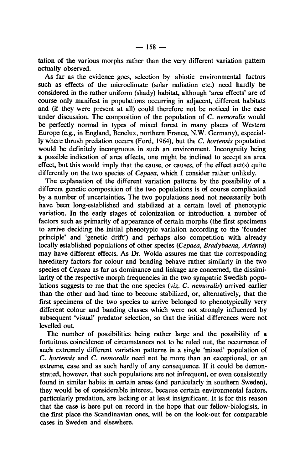tation of the various morphs rather than the very different variation pattern actually observed.

As far as the evidence goes, selection by abiotic environmental factors such as effects of the microclimate (solar radiation etc.) need hardly be considered in the rather uniform (shady) habitat, although 'area effects' are of course only manifest in populations occurring in adjacent, different habitats and (if they were present at all) could therefore not be noticed in the case under discussion. The composition of the population of C. nemoralis would be perfectly normal in types of mixed forest in many places of Western Europe (e.g., in England, Benelux, northern France, N.W. Germany), especially where thrush predation occurs (Ford, 1964), but the C. hortensis population would be definitely incongruous in such an environment. Incongruity being a possible indication of area effects, one might be inclined to accept an area effect, but this would imply that the cause, or causes, of the effect act(s) quite differently on the two species of Cepaea, which I consider rather unlikely.

The explanation of the different variation patterns by the possibility of <sup>a</sup> different genetic composition of the two populations is of course complicated by a number of uncertainties. The two populations need not necessarily both have been long-established and stabilized at a certain level of phenotypic variation. In the early stages of colonization or introduction a number of factors such as primarity of appearance of certain morphs (the first specimens to arrive deciding the initial phenotypic variation according to the 'founder principle' and 'genetic drift') and perhaps also competition with already locally established populations of other species (Cepaea, Bradybaena, Arianta) may have different effects. As Dr. Wolda assures me that the corresponding hereditary factors for colour and banding behave rather similarly in the two species of *Cepaea* as far as dominance and linkage are concerned, the dissimilarity of the respective morph frequencies in the two sympatric Swedish populations suggests to me that the one species (viz. C. nemoralis) arrived earlier than the other and had time to become stabilized, or, alternatively, that the first specimens of the two species to arrive belonged to phenotypically very different colour and banding classes which were not strongly influenced by subsequent 'visual' predator selection, so that the initial differences were not levelled out.

The number of possibilities being rather large and the possibility of a fortuitous coincidence of circumstances not to be ruled out, the occurrence of such extremely different variation patterns in a single 'mixed' population of C. hortensis and C. nemoralis need not be more than an exceptional, or an extreme, case and as such hardly of any consequence. If it could be demonstrated, however, that such populations are not infrequent, or even consistently found in similar habits in certain areas (and particularly in southern Sweden), they would be of considerable interest, because certain environmental factors, particularly predation, are lacking or at least insignificant. It is for this reason that the case is here put on record in the hope that our fellow-biologists, in the first place the Scandinavian ones, will be on the look-out for comparable cases in Sweden and elsewhere.